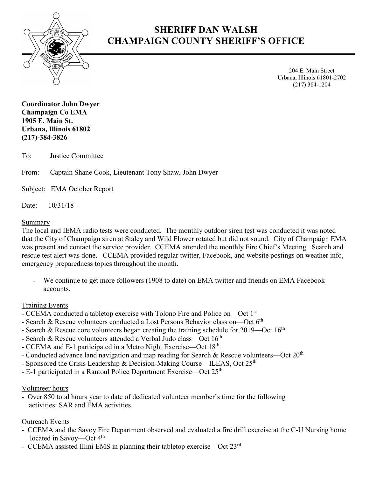

# **SHERIFF DAN WALSH CHAMPAIGN COUNTY SHERIFF'S OFFICE**

204 E. Main Street Urbana, Illinois 61801-2702 (217) 384-1204

**Coordinator John Dwyer Champaign Co EMA 1905 E. Main St. Urbana, Illinois 61802 (217)-384-3826**

To: Justice Committee

From: Captain Shane Cook, Lieutenant Tony Shaw, John Dwyer

Subject: EMA October Report

Date: 10/31/18

#### Summary

The local and IEMA radio tests were conducted. The monthly outdoor siren test was conducted it was noted that the City of Champaign siren at Staley and Wild Flower rotated but did not sound. City of Champaign EMA was present and contact the service provider. CCEMA attended the monthly Fire Chief's Meeting. Search and rescue test alert was done. CCEMA provided regular twitter, Facebook, and website postings on weather info, emergency preparedness topics throughout the month.

We continue to get more followers (1908 to date) on EMA twitter and friends on EMA Facebook accounts.

### Training Events

- CCEMA conducted a tabletop exercise with Tolono Fire and Police on—Oct 1st
- Search & Rescue volunteers conducted a Lost Persons Behavior class on—Oct  $6<sup>th</sup>$
- Search & Rescue core volunteers began creating the training schedule for  $2019$ —Oct  $16<sup>th</sup>$
- Search & Rescue volunteers attended a Verbal Judo class—Oct 16<sup>th</sup>
- CCEMA and E-1 participated in a Metro Night Exercise—Oct 18th
- Conducted advance land navigation and map reading for Search & Rescue volunteers—Oct 20th
- Sponsored the Crisis Leadership & Decision-Making Course—ILEAS, Oct 25<sup>th</sup>
- E-1 participated in a Rantoul Police Department Exercise—Oct 25<sup>th</sup>

### Volunteer hours

- Over 850 total hours year to date of dedicated volunteer member's time for the following activities: SAR and EMA activities

### Outreach Events

- CCEMA and the Savoy Fire Department observed and evaluated a fire drill exercise at the C-U Nursing home located in Savoy—Oct 4<sup>th</sup>
- CCEMA assisted Illini EMS in planning their tabletop exercise—Oct 23rd